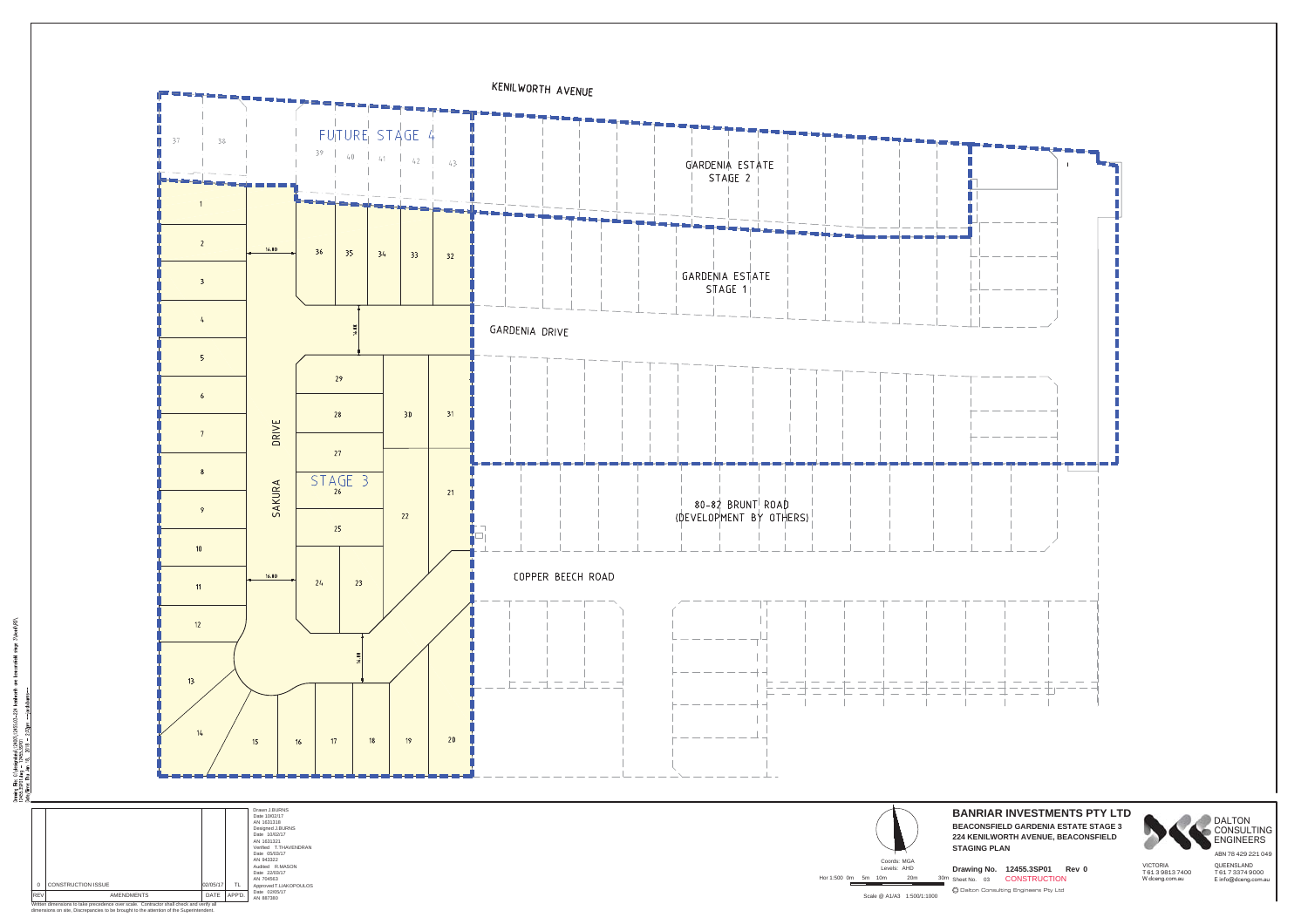

CONSULTING<br>ENGINEERS

ABN 78 429 221 049

Drawing File: C\designatio\12400\1245<br>12455.3591.dwg - 12455.35901<br>Date/Time: Thu Jon 18, 2018 - 2:32

Written dimensions to take precedence over scale. Contractor shall check and verify all dimensions on site, Discrepancies to be brought to the attention of the Superintendent.